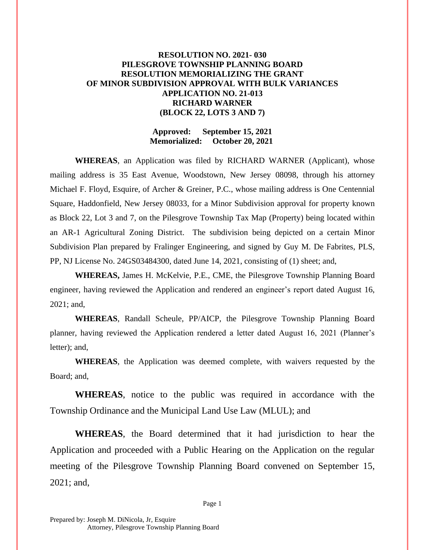## **RESOLUTION NO. 2021- 030 PILESGROVE TOWNSHIP PLANNING BOARD RESOLUTION MEMORIALIZING THE GRANT OF MINOR SUBDIVISION APPROVAL WITH BULK VARIANCES APPLICATION NO. 21-013 RICHARD WARNER (BLOCK 22, LOTS 3 AND 7)**

### **Approved: September 15, 2021 Memorialized: October 20, 2021**

**WHEREAS**, an Application was filed by RICHARD WARNER (Applicant), whose mailing address is 35 East Avenue, Woodstown, New Jersey 08098, through his attorney Michael F. Floyd, Esquire, of Archer & Greiner, P.C., whose mailing address is One Centennial Square, Haddonfield, New Jersey 08033, for a Minor Subdivision approval for property known as Block 22, Lot 3 and 7, on the Pilesgrove Township Tax Map (Property) being located within an AR-1 Agricultural Zoning District. The subdivision being depicted on a certain Minor Subdivision Plan prepared by Fralinger Engineering, and signed by Guy M. De Fabrites, PLS, PP, NJ License No. 24GS03484300, dated June 14, 2021, consisting of (1) sheet; and,

**WHEREAS,** James H. McKelvie, P.E., CME, the Pilesgrove Township Planning Board engineer, having reviewed the Application and rendered an engineer's report dated August 16, 2021; and,

**WHEREAS**, Randall Scheule, PP/AICP, the Pilesgrove Township Planning Board planner, having reviewed the Application rendered a letter dated August 16, 2021 (Planner's letter); and,

**WHEREAS**, the Application was deemed complete, with waivers requested by the Board; and,

**WHEREAS**, notice to the public was required in accordance with the Township Ordinance and the Municipal Land Use Law (MLUL); and

**WHEREAS**, the Board determined that it had jurisdiction to hear the Application and proceeded with a Public Hearing on the Application on the regular meeting of the Pilesgrove Township Planning Board convened on September 15, 2021; and,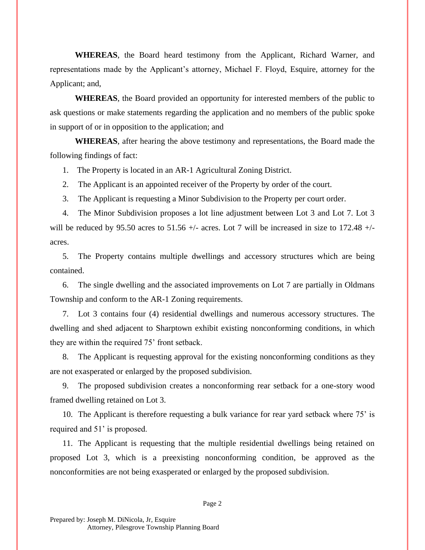**WHEREAS**, the Board heard testimony from the Applicant, Richard Warner, and representations made by the Applicant's attorney, Michael F. Floyd, Esquire, attorney for the Applicant; and,

**WHEREAS**, the Board provided an opportunity for interested members of the public to ask questions or make statements regarding the application and no members of the public spoke in support of or in opposition to the application; and

**WHEREAS**, after hearing the above testimony and representations, the Board made the following findings of fact:

1. The Property is located in an AR-1 Agricultural Zoning District.

2. The Applicant is an appointed receiver of the Property by order of the court.

3. The Applicant is requesting a Minor Subdivision to the Property per court order.

4. The Minor Subdivision proposes a lot line adjustment between Lot 3 and Lot 7. Lot 3 will be reduced by 95.50 acres to 51.56  $+/-$  acres. Lot 7 will be increased in size to 172.48  $+/$ acres.

5. The Property contains multiple dwellings and accessory structures which are being contained.

6. The single dwelling and the associated improvements on Lot 7 are partially in Oldmans Township and conform to the AR-1 Zoning requirements.

7. Lot 3 contains four (4) residential dwellings and numerous accessory structures. The dwelling and shed adjacent to Sharptown exhibit existing nonconforming conditions, in which they are within the required 75' front setback.

8. The Applicant is requesting approval for the existing nonconforming conditions as they are not exasperated or enlarged by the proposed subdivision.

9. The proposed subdivision creates a nonconforming rear setback for a one-story wood framed dwelling retained on Lot 3.

10. The Applicant is therefore requesting a bulk variance for rear yard setback where 75' is required and 51' is proposed.

11. The Applicant is requesting that the multiple residential dwellings being retained on proposed Lot 3, which is a preexisting nonconforming condition, be approved as the nonconformities are not being exasperated or enlarged by the proposed subdivision.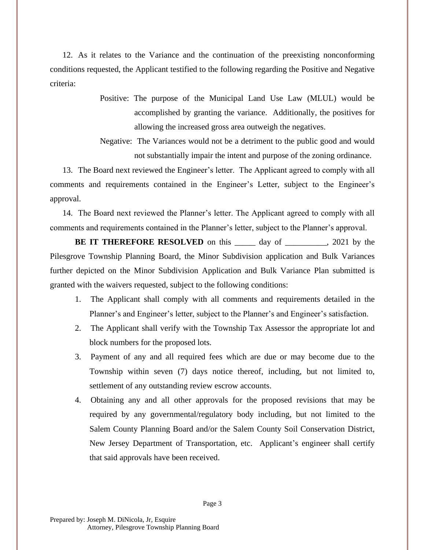12. As it relates to the Variance and the continuation of the preexisting nonconforming conditions requested, the Applicant testified to the following regarding the Positive and Negative criteria:

- Positive: The purpose of the Municipal Land Use Law (MLUL) would be accomplished by granting the variance. Additionally, the positives for allowing the increased gross area outweigh the negatives.
- Negative: The Variances would not be a detriment to the public good and would not substantially impair the intent and purpose of the zoning ordinance.

13. The Board next reviewed the Engineer's letter. The Applicant agreed to comply with all comments and requirements contained in the Engineer's Letter, subject to the Engineer's approval.

14. The Board next reviewed the Planner's letter. The Applicant agreed to comply with all comments and requirements contained in the Planner's letter, subject to the Planner's approval.

**BE IT THEREFORE RESOLVED** on this <u>each day of each manual</u>, 2021 by the Pilesgrove Township Planning Board, the Minor Subdivision application and Bulk Variances further depicted on the Minor Subdivision Application and Bulk Variance Plan submitted is granted with the waivers requested, subject to the following conditions:

- 1. The Applicant shall comply with all comments and requirements detailed in the Planner's and Engineer's letter, subject to the Planner's and Engineer's satisfaction.
- 2. The Applicant shall verify with the Township Tax Assessor the appropriate lot and block numbers for the proposed lots.
- 3. Payment of any and all required fees which are due or may become due to the Township within seven (7) days notice thereof, including, but not limited to, settlement of any outstanding review escrow accounts.
- 4. Obtaining any and all other approvals for the proposed revisions that may be required by any governmental/regulatory body including, but not limited to the Salem County Planning Board and/or the Salem County Soil Conservation District, New Jersey Department of Transportation, etc. Applicant's engineer shall certify that said approvals have been received.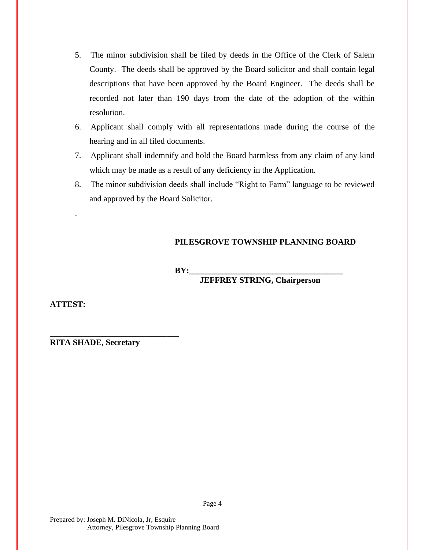- 5. The minor subdivision shall be filed by deeds in the Office of the Clerk of Salem County. The deeds shall be approved by the Board solicitor and shall contain legal descriptions that have been approved by the Board Engineer. The deeds shall be recorded not later than 190 days from the date of the adoption of the within resolution.
- 6. Applicant shall comply with all representations made during the course of the hearing and in all filed documents.
- 7. Applicant shall indemnify and hold the Board harmless from any claim of any kind which may be made as a result of any deficiency in the Application.
- 8. The minor subdivision deeds shall include "Right to Farm" language to be reviewed and approved by the Board Solicitor.

# **PILESGROVE TOWNSHIP PLANNING BOARD**

 $BY:$ 

**JEFFREY STRING, Chairperson**

**ATTEST:**

.

**RITA SHADE, Secretary**

**\_\_\_\_\_\_\_\_\_\_\_\_\_\_\_\_\_\_\_\_\_\_\_\_\_\_\_\_\_\_\_**

Page 4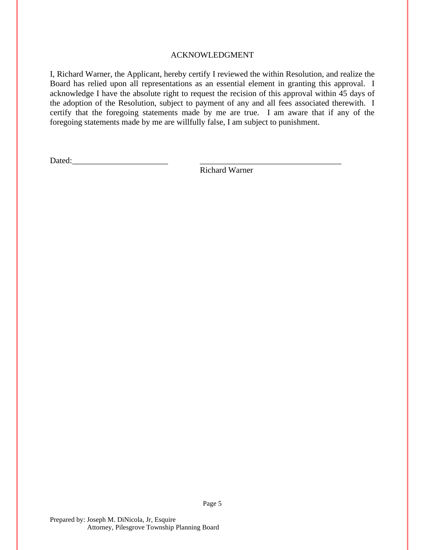### ACKNOWLEDGMENT

I, Richard Warner, the Applicant, hereby certify I reviewed the within Resolution, and realize the Board has relied upon all representations as an essential element in granting this approval. I acknowledge I have the absolute right to request the recision of this approval within 45 days of the adoption of the Resolution, subject to payment of any and all fees associated therewith. I certify that the foregoing statements made by me are true. I am aware that if any of the foregoing statements made by me are willfully false, I am subject to punishment.

Dated:

Richard Warner